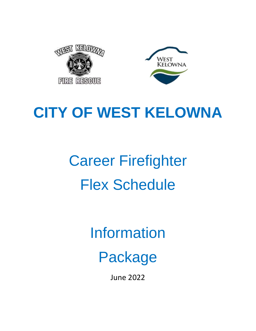



# **CITY OF WEST KELOWNA**

# Career Firefighter Flex Schedule

Information

Package

June 2022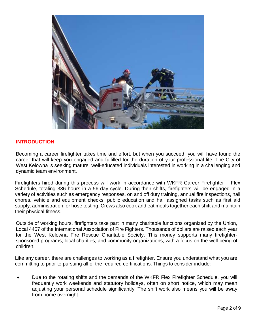

# **INTRODUCTION**

Becoming a career firefighter takes time and effort, but when you succeed, you will have found the career that will keep you engaged and fulfilled for the duration of your professional life. The City of West Kelowna is seeking mature, well-educated individuals interested in working in a challenging and dynamic team environment.

Firefighters hired during this process will work in accordance with WKFR Career Firefighter – Flex Schedule, totaling 336 hours in a 56-day cycle. During their shifts, firefighters will be engaged in a variety of activities such as emergency responses, on and off duty training, annual fire inspections, hall chores, vehicle and equipment checks, public education and hall assigned tasks such as first aid supply, administration, or hose testing. Crews also cook and eat meals together each shift and maintain their physical fitness.

Outside of working hours, firefighters take part in many charitable functions organized by the Union, Local 4457 of the International Association of Fire Fighters. Thousands of dollars are raised each year for the West Kelowna Fire Rescue Charitable Society. This money supports many firefightersponsored programs, local charities, and community organizations, with a focus on the well-being of children.

Like any career, there are challenges to working as a firefighter. Ensure you understand what you are committing to prior to pursuing all of the required certifications. Things to consider include:

• Due to the rotating shifts and the demands of the WKFR Flex Firefighter Schedule, you will frequently work weekends and statutory holidays, often on short notice, which may mean adjusting your personal schedule significantly. The shift work also means you will be away from home overnight.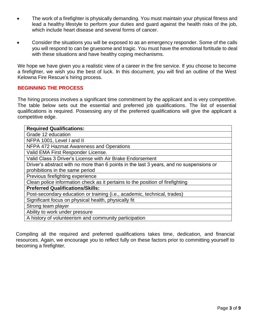- The work of a firefighter is physically demanding. You must maintain your physical fitness and lead a healthy lifestyle to perform your duties and guard against the health risks of the job, which include heart disease and several forms of cancer.
- Consider the situations you will be exposed to as an emergency responder. Some of the calls you will respond to can be gruesome and tragic. You must have the emotional fortitude to deal with these situations and have healthy coping mechanisms.

We hope we have given you a realistic view of a career in the fire service. If you choose to become a firefighter, we wish you the best of luck. In this document, you will find an outline of the West Kelowna Fire Rescue's hiring process.

# **BEGINNING THE PROCESS**

The hiring process involves a significant time commitment by the applicant and is very competitive. The table below sets out the essential and preferred job qualifications. The list of essential qualifications is required. Possessing any of the preferred qualifications will give the applicant a competitive edge.

| <b>Required Qualifications:</b>                                                         |
|-----------------------------------------------------------------------------------------|
| Grade 12 education                                                                      |
| NFPA 1001, Level I and II                                                               |
| NFPA 472 Hazmat Awareness and Operations                                                |
| Valid EMA First Responder License.                                                      |
| Valid Class 3 Driver's License with Air Brake Endorsement                               |
| Driver's abstract with no more than 6 points in the last 3 years, and no suspensions or |
| prohibitions in the same period                                                         |
| Previous firefighting experience                                                        |
| Clean police information check as it pertains to the position of firefighting           |
| <b>Preferred Qualifications/Skills:</b>                                                 |
| Post-secondary education or training (i.e., academic, technical, trades)                |
| Significant focus on physical health, physically fit                                    |
| Strong team player                                                                      |
| Ability to work under pressure                                                          |
| A history of volunteerism and community participation                                   |

Compiling all the required and preferred qualifications takes time, dedication, and financial resources. Again, we encourage you to reflect fully on these factors prior to committing yourself to becoming a firefighter.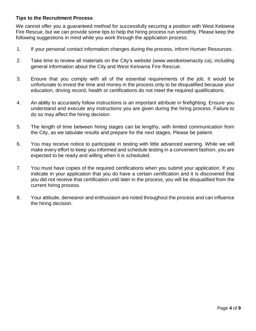# **Tips to the Recruitment Process**

We cannot offer you a guaranteed method for successfully securing a position with West Kelowna Fire Rescue, but we can provide some tips to help the hiring process run smoothly. Please keep the following suggestions in mind while you work through the application process:

- 1. If your personal contact information changes during the process, inform Human Resources.
- 2. Take time to review all materials on the City's website (www.westkelownacity.ca), including general information about the City and West Kelowna Fire Rescue.
- 3. Ensure that you comply with all of the essential requirements of the job. It would be unfortunate to invest the time and money in the process only to be disqualified because your education, driving record, health or certifications do not meet the required qualifications.
- 4. An ability to accurately follow instructions is an important attribute in firefighting. Ensure you understand and execute any instructions you are given during the hiring process. Failure to do so may affect the hiring decision.
- 5. The length of time between hiring stages can be lengthy, with limited communication from the City, as we tabulate results and prepare for the next stages. Please be patient.
- 6. You may receive notice to participate in testing with little advanced warning. While we will make every effort to keep you informed and schedule testing in a convenient fashion, you are expected to be ready and willing when it is scheduled.
- 7. You must have copies of the required certifications when you submit your application. If you indicate in your application that you do have a certain certification and it is discovered that you did not receive that certification until later in the process, you will be disqualified from the current hiring process.
- 8. Your attitude, demeanor and enthusiasm are noted throughout the process and can influence the hiring decision.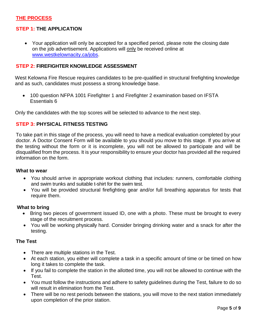# **THE PROCESS**

# **STEP 1: THE APPLICATION**

• Your application will only be accepted for a specified period, please note the closing date on the job advertisement. Applications will only be received online at [www.westkelownacity.ca/jobs.](http://www.westkelownacity.ca/jobs)

# **STEP 2: FIREFIGHTER KNOWLEDGE ASSESSMENT**

West Kelowna Fire Rescue requires candidates to be pre-qualified in structural firefighting knowledge and as such, candidates must possess a strong knowledge base.

• 100 question NFPA 1001 Firefighter 1 and Firefighter 2 examination based on IFSTA Essentials 6

Only the candidates with the top scores will be selected to advance to the next step.

# **STEP 3: PHYSICAL FITNESS TESTING**

To take part in this stage of the process, you will need to have a medical evaluation completed by your doctor. A Doctor Consent Form will be available to you should you move to this stage. If you arrive at the testing without the form or it is incomplete, you will not be allowed to participate and will be disqualified from the process. It is your responsibility to ensure your doctor has provided all the required information on the form.

#### **What to wear**

- You should arrive in appropriate workout clothing that includes: runners, comfortable clothing and swim trunks and suitable t-shirt for the swim test.
- You will be provided structural firefighting gear and/or full breathing apparatus for tests that require them.

#### **What to bring**

- Bring two pieces of government issued ID, one with a photo. These must be brought to every stage of the recruitment process.
- You will be working physically hard. Consider bringing drinking water and a snack for after the testing.

# **The Test**

- There are multiple stations in the Test.
- At each station, you either will complete a task in a specific amount of time or be timed on how long it takes to complete the task.
- If you fail to complete the station in the allotted time, you will not be allowed to continue with the Test.
- You must follow the instructions and adhere to safety guidelines during the Test, failure to do so will result in elimination from the Test.
- There will be no rest periods between the stations, you will move to the next station immediately upon completion of the prior station.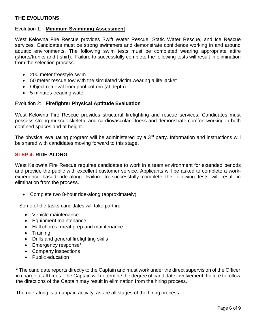# **THE EVOLUTIONS**

#### Evolution 1: **Minimum Swimming Assessment**

West Kelowna Fire Rescue provides Swift Water Rescue, Static Water Rescue, and Ice Rescue services. Candidates must be strong swimmers and demonstrate confidence working in and around aquatic environments. The following swim tests must be completed wearing appropriate attire (shorts/trunks and t-shirt). Failure to successfully complete the following tests will result in elimination from the selection process:

- 200 meter freestyle swim
- 50 meter rescue tow with the simulated victim wearing a life jacket
- Object retrieval from pool bottom (at depth)
- 5 minutes treading water

#### Evolution 2: **Firefighter Physical Aptitude Evaluation**

West Kelowna Fire Rescue provides structural firefighting and rescue services. Candidates must possess strong musculoskeletal and cardiovascular fitness and demonstrate comfort working in both confined spaces and at height.

The physical evaluating program will be administered by a 3<sup>rd</sup> party. Information and instructions will be shared with candidates moving forward to this stage.

#### **STEP 4: RIDE-ALONG**

West Kelowna Fire Rescue requires candidates to work in a team environment for extended periods and provide the public with excellent customer service. Applicants will be asked to complete a workexperience based ride-along. Failure to successfully complete the following tests will result in elimination from the process.

• Complete two 8-hour ride-along (approximately)

Some of the tasks candidates will take part in:

- Vehicle maintenance
- Equipment maintenance
- Hall chores, meal prep and maintenance
- Training
- Drills and general firefighting skills
- Emergency response\*
- Company inspections
- Public education

**\*** The candidate reports directly to the Captain and must work under the direct supervision of the Officer in charge at all times. The Captain will determine the degree of candidate involvement. Failure to follow the directions of the Captain may result in elimination from the hiring process.

The ride-along is an unpaid activity, as are all stages of the hiring process.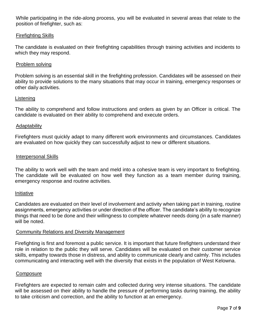While participating in the ride-along process, you will be evaluated in several areas that relate to the position of firefighter, such as:

#### Firefighting Skills

The candidate is evaluated on their firefighting capabilities through training activities and incidents to which they may respond.

#### Problem solving

Problem solving is an essential skill in the firefighting profession. Candidates will be assessed on their ability to provide solutions to the many situations that may occur in training, emergency responses or other daily activities.

#### **Listening**

The ability to comprehend and follow instructions and orders as given by an Officer is critical. The candidate is evaluated on their ability to comprehend and execute orders.

#### Adaptability

Firefighters must quickly adapt to many different work environments and circumstances. Candidates are evaluated on how quickly they can successfully adjust to new or different situations.

#### Interpersonal Skills

The ability to work well with the team and meld into a cohesive team is very important to firefighting. The candidate will be evaluated on how well they function as a team member during training, emergency response and routine activities.

#### Initiative

Candidates are evaluated on their level of involvement and activity when taking part in training, routine assignments, emergency activities or under direction of the officer. The candidate's ability to recognize things that need to be done and their willingness to complete whatever needs doing (in a safe manner) will be noted.

#### Community Relations and Diversity Management

Firefighting is first and foremost a public service. It is important that future firefighters understand their role in relation to the public they will serve. Candidates will be evaluated on their customer service skills, empathy towards those in distress, and ability to communicate clearly and calmly. This includes communicating and interacting well with the diversity that exists in the population of West Kelowna.

#### Composure

Firefighters are expected to remain calm and collected during very intense situations. The candidate will be assessed on their ability to handle the pressure of performing tasks during training, the ability to take criticism and correction, and the ability to function at an emergency.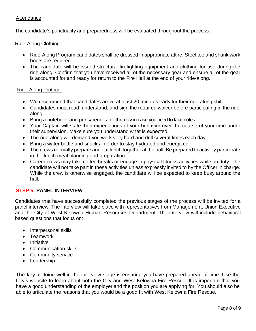# **Attendance**

The candidate's punctuality and preparedness will be evaluated throughout the process.

#### Ride-Along Clothing:

- Ride-Along Program candidates shall be dressed in appropriate attire. Steel toe and shank work boots are required.
- The candidate will be issued structural firefighting equipment and clothing for use during the ride-along. Confirm that you have received all of the necessary gear and ensure all of the gear is accounted for and ready for return to the Fire Hall at the end of your ride-along.

#### Ride-Along Protocol

- We recommend that candidates arrive at least 20 minutes early for their ride-along shift.
- Candidates must read, understand, and sign the required waiver before participating in the ridealong.
- Bring a notebook and pens/pencils for the day in case you need to take notes.
- Your Captain will state their expectations of your behavior over the course of your time under their supervision. Make sure you understand what is expected.
- The ride-along will demand you work very hard and drill several times each day.
- Bring a water bottle and snacks in order to stay hydrated and energized.
- The crews normally prepare and eat lunch together at the hall. Be prepared to actively participate in the lunch meal planning and preparation.
- Career crews may take coffee breaks or engage in physical fitness activities while on duty. The candidate will not take part in these activities unless expressly invited to by the Officer in charge. While the crew is otherwise engaged, the candidate will be expected to keep busy around the hall.

# **STEP 5: PANEL INTERVIEW**

Candidates that have successfully completed the previous stages of the process will be invited for a panel interview. The interview will take place with representatives from Management, Union Executive and the City of West Kelowna Human Resources Department. The interview will include behavioral based questions that focus on:

- Interpersonal skills
- Teamwork
- Initiative
- Communication skills
- Community service
- Leadership

The key to doing well in the interview stage is ensuring you have prepared ahead of time. Use the City's website to learn about both the City and West Kelowna Fire Rescue. It is important that you have a good understanding of the employer and the position you are applying for. You should also be able to articulate the reasons that you would be a good fit with West Kelowna Fire Rescue.